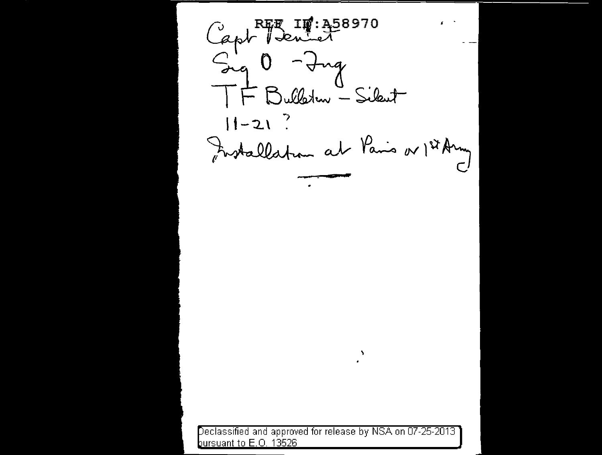Capt Penier  $\mathbf{r}$ - Ing  $sin \theta$ F Bulleton - Sikent  $11 - 21$  ? Forstallation at Paris or 1st Army

eclassified and approved for release by NSA on 07-25-2013 bursuant to E.O. 13526

 $\mathbf{v}$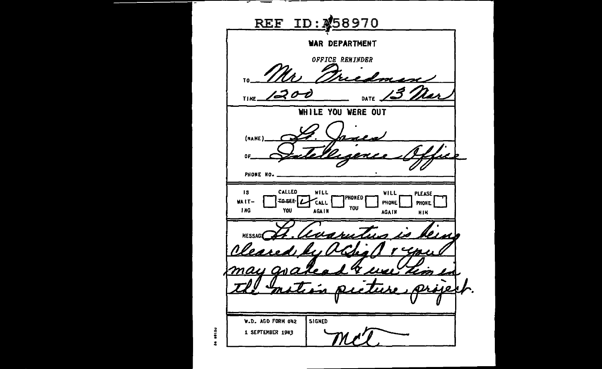REF ID: 458970 WAR DEPARTMENT **OFFICE REMINDER**  $111112200$ معط DATE WHILE YOU WERE OUT (NAME) <sup>2</sup>eaeae OF PHONE NO. CALLED WILL WILL PLEASE.  $15$ HONED  $|{\tt\small{use}}|_{\boldsymbol{L}}$ WAIT-**CALL** PHONE **PHONE** YOU **ING** YOU **AGAIN AGAIN NIM** MESSAG W.D. AGO FORM 042 SIGNED alla 1 SEPTEMBER 1943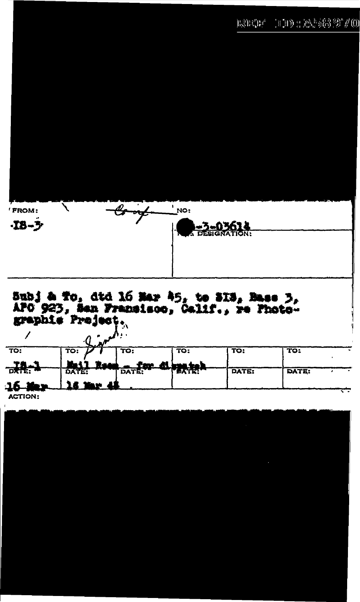## $1102223397/0$  $\mathbf{h}\otimes\mathbf{h}\in\mathbb{R}^{d}$



## Subj & To, dtd 16 Mar 45, to 313, Base 3,<br>APO 923, San Fransisco, Galif., re Photo-<br>graphie Project<sub>3</sub>

| TO:                                 | TO: | тο: | TO:                                | TO:          | TO:          |  |
|-------------------------------------|-----|-----|------------------------------------|--------------|--------------|--|
| PS                                  |     |     | <b>BALL ROOM BATERY 41 PEACHER</b> |              |              |  |
|                                     |     |     |                                    | <b>DATE:</b> | <b>DATE:</b> |  |
| لـ61<br><b><i>Company for a</i></b> |     |     |                                    |              |              |  |
| --------                            |     |     |                                    |              |              |  |

**ACTION:**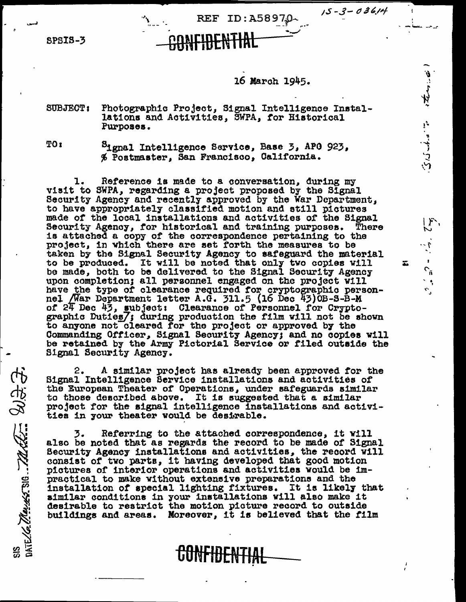$15 - 3 - 03614$ 

つってっすい これしょ

 $\frac{1}{2}$   $\frac{1}{2}$   $\frac{1}{2}$   $\frac{1}{2}$ 

**SPSIS-3** 

## 16 March 1945.

REF ID: A5897.0

Photographic Project, Signal Intelligence Instal-SUBJECT: lations and Activities, SWPA, for Historical Purposes.

**TO**<sub>I</sub>

SIS SULLER CONTROLL BUT ST

Signal Intelligence Service, Base 3, APO 923, % Postmaster, San Francisco, California.

Reference is made to a conversation, during my ı. visit to SWPA, regarding a project proposed by the Signal Security Agency and recently approved by the War Department. to have appropriately classified motion and still pictures made of the local installations and activities of the Signal Security Agency, for historical and training purposes. There is attached a copy of the correspondence pertaining to the project, in which there are set forth the measures to be taken by the Signal Security Agency to safeguard the material to be produced. It will be noted that only two copies will be made, both to be delivered to the Signal Security Agency upon completion; all personnel engaged on the project will have the type of clearance required for cryptographic personnel /War Department letter A.G. 311.5 (16 Dec 43) 0B-S-B-M of 24 Dec 43, subject: Clearance of Personnel for Crypto-graphic Duties/; during production the film will not be shown to anyone not cleared for the project or approved by the Commanding Officer, Signal Security Agency; and no copies will be retained by the Army Pictorial Service or filed outside the Signal Security Agency.

A similar project has already been approved for the 2. Signal Intelligence Bervice installations and activities of the European Theater of Operations, under safeguards similar to those described above. It is suggested that a similar project for the signal intelligence installations and activities in your theater would be desirable.

Referring to the attached correspondence, it will 3. also be noted that as regards the record to be made of Signal Security Agency installations and activities, the record will consist of two parts, it having developed that good motion pictures of interior operations and activities would be impractical to make without extensive preparations and the installation of special lighting fixtures. It is likely that similar conditions in your installations will also make it desirable to restrict the motion picture record to outside buildings and areas. Moreover, it is believed that the film

**GUNFIDENTIA**